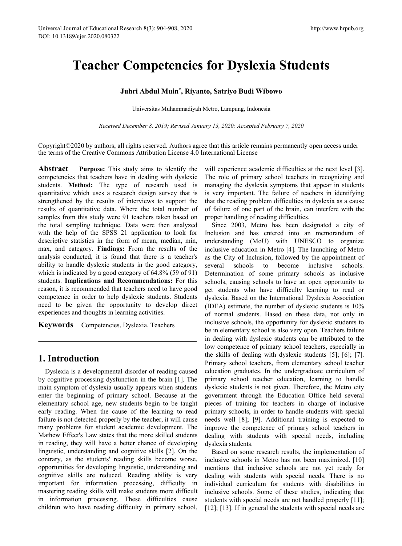# **Teacher Competencies for Dyslexia Students** Research 8(3): 904-908, 2020<br> **Competencies for Dyslexia**<br> **Juhri Abdul Muin<sup>\*</sup>, Riyanto, Satriyo Budi Wibow<br>
Universitas Muhammadiyah Metro, Lampung, Indonesia<br>** *December 8, 2019; Revised January 13, 2020; Accepted Februa* **1998)**<br> **1998)<br>
Riyanto, Satriyo Budi Wibowo**<br> **1998)**<br> **1998)**<br> **1998)**<br> **1998)**<br> **1998)**<br> **1998)**<br> **1998)**<br> **1998)**<br> **1998)**<br> **1998)**<br> **1998)**<br> **1998)**<br> **1998)**<br> **1998)**<br> **1998)**<br> **1998)**<br> **1998)**<br> **1998)**<br> **1998)**<br> **19** arch 8(3): 904-908, 2020<br> **OMPETENCIES for Dyslexia Students**<br> **ri Abdul Muin\*, Riyanto, Satriyo Budi Wibowo**<br>
Universitas Muhammadiyah Metro, Lampung, Indonesia<br> *ember 8, 2019; Revised January 13, 2020; Accepted February*

Copyright©2020 by authors, all rights reserved. Authors agree that this article remains permanently open access under the terms of the Creative Commons Attribution License 4.0 International License **her Competencies for Dyslexia Students**<br>
Juhri Abdul Muin<sup>\*</sup>, Riyanto, Satriyo Budi Wibowo<br>
Universitas Muhammadiyah Metro, Lampung, Indonesia<br> *Received December 8, 2019; Revised January 13, 2020; Accepted February 7, 20* 

**Abstract Purpose:** This study aims to identify the competencies that teachers have in dealing with dyslexic students. **Method:** The type of research used is quantitative which uses a research design survey that is strengthened by the results of interviews to support the results of quantitative data. Where the total number of samples from this study were 91 teachers taken based on the total sampling technique. Data were then analyzed with the help of the SPSS 21 application to look for descriptive statistics in the form of mean, median, min, max, and category. **Findings:** From the results of the analysis conducted, it is found that there is a teacher's ability to handle dyslexic students in the good category, several schools which is indicated by a good category of 64.8% (59 of 91) students. **Implications and Recommendations:** For this reason, it is recommended that teachers need to have good competence in order to help dyslexic students. Students need to be given the opportunity to develop direct experiences and thoughts in learning activities.

**Keywords** Competencies, Dyslexia, Teachers

# **1. Introduction**

Dyslexia is a developmental disorder of reading caused by cognitive processing dysfunction in the brain [1]. The main symptom of dyslexia usually appears when students enter the beginning of primary school. Because at the elementary school age, new students begin to be taught early reading. When the cause of the learning to read failure is not detected properly by the teacher, it will cause many problems for student academic development. The Mathew Effect's Law states that the more skilled students in reading, they will have a better chance of developing linguistic, understanding and cognitive skills [2]. On the contrary, as the students' reading skills become worse, opportunities for developing linguistic, understanding and cognitive skills are reduced. Reading ability is very important for information processing, difficulty in mastering reading skills will make students more difficult in information processing. These difficulties cause children who have reading difficulty in primary school,

will experience academic difficulties at the next level [3]. The role of primary school teachers in recognizing and managing the dyslexia symptoms that appear in students is very important. The failure of teachers in identifying that the reading problem difficulties in dyslexia as a cause of failure of one part of the brain, can interfere with the proper handling of reading difficulties.

Since 2003, Metro has been designated a city of Inclusion and has entered into an memorandum of understanding (MoU) with UNESCO to organize inclusive education in Metro [4]. The launching of Metro as the City of Inclusion, followed by the appointment of to become inclusive schools. Determination of some primary schools as inclusive schools, causing schools to have an open opportunity to get students who have difficulty learning to read or dyslexia. Based on the International Dyslexia Association (IDEA) estimate, the number of dyslexic students is 10% of normal students. Based on these data, not only in inclusive schools, the opportunity for dyslexic students to be in elementary school is also very open. Teachers failure in dealing with dyslexic students can be attributed to the low competence of primary school teachers, especially in the skills of dealing with dyslexic students [5]; [6]; [7]. Primary school teachers, from elementary school teacher education graduates. In the undergraduate curriculum of primary school teacher education, learning to handle dyslexic students is not given. Therefore, the Metro city government through the Education Office held several pieces of training for teachers in charge of inclusive primary schools, in order to handle students with special needs well [8]; [9]. Additional training is expected to improve the competence of primary school teachers in dealing with students with special needs, including dyslexia students.

Based on some research results, the implementation of inclusive schools in Metro has not been maximized. [10] mentions that inclusive schools are not yet ready for dealing with students with special needs. There is no individual curriculum for students with disabilities in inclusive schools. Some of these studies, indicating that students with special needs are not handled properly [11]; [12]; [13]. If in general the students with special needs are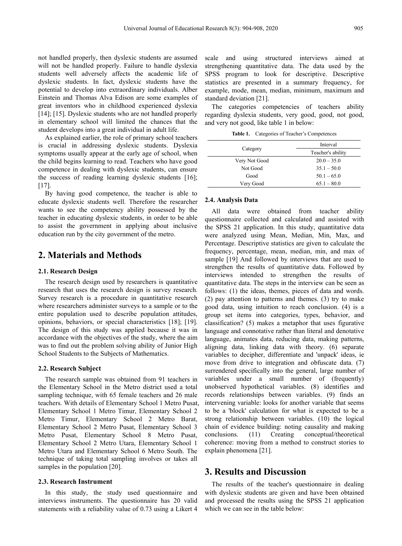not handled properly, then dyslexic students are assumed will not be handled properly. Failure to handle dyslexia students well adversely affects the academic life of dyslexic students. In fact, dyslexic students have the potential to develop into extraordinary individuals. Alber Einstein and Thomas Alva Edison are some examples of great inventors who in childhood experienced dyslexia [14]; [15]. Dyslexic students who are not handled properly in elementary school will limited the chances that the student develops into a great individual in adult life.

As explained earlier, the role of primary school teachers is crucial in addressing dyslexic students. Dyslexia symptoms usually appear at the early age of school, when the child begins learning to read. Teachers who have good competence in dealing with dyslexic students, can ensure the success of reading learning dyslexic students [16];  $[17]$ .

By having good competence, the teacher is able to educate dyslexic students well. Therefore the researcher wants to see the competency ability possessed by the teacher in educating dyslexic students, in order to be able to assist the government in applying about inclusive education run by the city government of the metro.

# **2. Materials and Methods**

### **2.1. Research Design**

The research design used by researchers is quantitative research that uses the research design is survey research. Survey research is a procedure in quantitative research where researchers administer surveys to a sample or to the entire population used to describe population attitudes, opinions, behaviors, or special characteristics [18]; [19]. The design of this study was applied because it was in accordance with the objectives of the study, where the aim was to find out the problem solving ability of Junior High School Students to the Subjects of Mathematics.

#### **2.2. Research Subject**

The research sample was obtained from 91 teachers in the Elementary School in the Metro district used a total sampling technique, with 65 female teachers and 26 male teachers. With details of Elementary School 1 Metro Pusat, Elementary School 1 Metro Timur, Elementary School 2 Metro Timur, Elementary School 2 Metro Barat, Elementary School 2 Metro Pusat, Elementary School 3 Metro Pusat, Elementary School 8 Metro Pusat, conclusions. Elementary School 2 Metro Utara, Elementary School 1 Metro Utara and Elementary School 6 Metro South. The technique of taking total sampling involves or takes all samples in the population [20].

#### **2.3. Research Instrument**

In this study, the study used questionnaire and interviews instruments. The questionnaire has 20 valid statements with a reliability value of 0.73 using a Likert 4

scale and using structured interviews aimed at strengthening quantitative data. The data used by the SPSS program to look for descriptive. Descriptive statistics are presented in a summary frequency, for example, mode, mean, median, minimum, maximum and standard deviation [21].

The categories competencies of teachers ability regarding dyslexia students, very good, good, not good, and very not good, like table 1 in below:

Table 1. Categories of Teacher's Competences

|               | Interval          |  |  |
|---------------|-------------------|--|--|
| Category      | Teacher's ability |  |  |
| Very Not Good | $20.0 - 35.0$     |  |  |
| Not Good      | $35.1 - 50.0$     |  |  |
| Good          | $50.1 - 65.0$     |  |  |
| Very Good     | $65.1 - 80.0$     |  |  |

#### **2.4. Analysis Data**

All data were obtained from teacher ability questionnaire collected and calculated and assisted with the SPSS 21 application. In this study, quantitative data were analyzed using Mean, Median, Min, Max, and Percentage. Descriptive statistics are given to calculate the frequency, percentage, mean, median, min, and max of sample [19] And followed by interviews that are used to strengthen the results of quantitative data. Followed by interviews intended to strengthen the results of quantitative data. The steps in the interview can be seen as follows: (1) the ideas, themes, pieces of data and words. (2) pay attention to patterns and themes. (3) try to make good data, using intuition to reach conclusion. (4) is a group set items into categories, types, behavior, and classification? (5) makes a metaphor that uses figurative language and connotative rather than literal and denotative language, animates data, reducing data, making patterns, aligning data, linking data with theory. (6) separate variables to decipher, differentiate and 'unpack' ideas, ie move from drive to integration and obfuscate data. (7) surrendered specifically into the general, large number of variables under a small number of (frequently) unobserved hypothetical variables. (8) identifies and records relationships between variables. (9) finds an intervening variable: looks for another variable that seems to be a 'block' calculation for what is expected to be a strong relationship between variables. (10) the logical chain of evidence building: noting causality and making  $(11)$  Creating conceptual/theoretical coherence: moving from a method to construct stories to explain phenomena [21].

## **3. Results and Discussion**

The results of the teacher's questionnaire in dealing with dyslexic students are given and have been obtained and processed the results using the SPSS 21 application which we can see in the table below: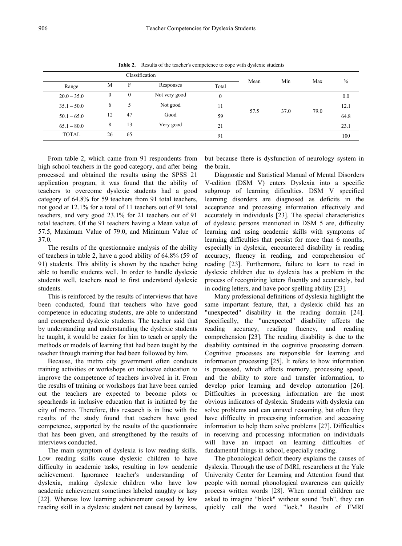| Classification |          |              |               |              |      |      |      |         |
|----------------|----------|--------------|---------------|--------------|------|------|------|---------|
| Range          | M        | F            | Responses     | Total        | Mean | Min  | Max  | $\%$    |
| $20.0 - 35.0$  | $\theta$ | $\mathbf{0}$ | Not very good | $\mathbf{0}$ | 57.5 | 37.0 | 79.0 | $0.0\,$ |
| $35.1 - 50.0$  | 6        | ∼            | Not good      | 11           |      |      |      | 12.1    |
| $50.1 - 65.0$  | 12       | 47           | Good          | 59           |      |      |      | 64.8    |
| $65.1 - 80.0$  | 8        | 13           | Very good     | 21           |      |      |      | 23.1    |
| <b>TOTAL</b>   | 26       | 65           |               | 91           |      |      |      | 100     |

Table 2. Results of the teacher's competence to cope with dyslexic students

From table 2, which came from 91 respondents from high school teachers in the good category, and after being processed and obtained the results using the SPSS 21 application program, it was found that the ability of teachers to overcome dyslexic students had a good category of 64.8% for 59 teachers from 91 total teachers, not good at 12.1% for a total of 11 teachers out of 91 total teachers, and very good 23.1% for 21 teachers out of 91 total teachers. Of the 91 teachers having a Mean value of 57.5, Maximum Value of 79.0, and Minimum Value of 37.0.<br>The results of the questionnaire analysis of the ability

of teachers in table 2, have a good ability of 64.8% (59 of 91) students. This ability is shown by the teacher being able to handle students well. In order to handle dyslexic students well, teachers need to first understand dyslexic students.

This is reinforced by the results of interviews that have been conducted, found that teachers who have good competence in educating students, are able to understand and comprehend dyslexic students. The teacher said that by understanding and understanding the dyslexic students he taught, it would be easier for him to teach or apply the methods or models of learning that had been taught by the teacher through training that had been followed by him.

Because, the metro city government often conducts training activities or workshops on inclusive education to improve the competence of teachers involved in it. From the results of training or workshops that have been carried out the teachers are expected to become pilots or spearheads in inclusive education that is initiated by the city of metro. Therefore, this research is in line with the results of the study found that teachers have good competence, supported by the results of the questionnaire that has been given, and strengthened by the results of interviews conducted.

The main symptom of dyslexia is low reading skills. Low reading skills cause dyslexic children to have difficulty in academic tasks, resulting in low academic achievement. Ignorance teacher's understanding of dyslexia, making dyslexic children who have low academic achievement sometimes labeled naughty or lazy [22]. Whereas low learning achievement caused by low reading skill in a dyslexic student not caused by laziness,

but because there is dysfunction of neurology system in the brain.

Diagnostic and Statistical Manual of Mental Disorders V-edition (DSM V) enters Dyslexia into a specific subgroup of learning dificulties. DSM V specified learning disorders are diagnosed as deficits in the acceptance and processing information effectively and accurately in individuals [23]. The special characteristics of dyslexic persons mentioned in DSM 5 are, difficulty learning and using academic skills with symptoms of learning difficulties that persist for more than 6 months, especially in dyslexia, encountered disability in reading accuracy, fluency in reading, and comprehension of reading [23]. Furthermore, failure to learn to read in dyslexic children due to dyslexia has a problem in the process of recognizing letters fluently and accurately, bad in coding letters, and have poor spelling ability [23].

Many professional definitions of dyslexia highlight the same important feature, that, a dyslexic child has an "unexpected" disability in the reading domain [24]. Specifically, the "unexpected" disability affects the reading accuracy, reading fluency, and reading comprehension [23]. The reading disability is due to the disability contained in the cognitive processing domain. Cognitive processes are responsible for learning and information processing [25]. It refers to how information is processed, which affects memory, processing speed, and the ability to store and transfer information, to develop prior learning and develop automation [26]. Difficulties in processing information are the most obvious indicators of dyslexia. Students with dyslexia can solve problems and can unravel reasoning, but often they have difficulty in processing information and accessing information to help them solve problems [27]. Difficulties in receiving and processing information on individuals will have an impact on learning difficulties of fundamental things in school, especially reading.

The phonological deficit theory explains the causes of dyslexia. Through the use of fMRI, researchers at the Yale University Center for Learning and Attention found that people with normal phonological awareness can quickly process written words [28]. When normal children are asked to imagine "block" without sound "buh", they can quickly call the word "lock." Results of FMRI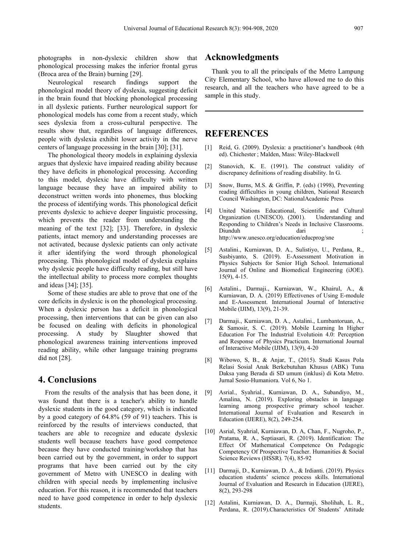photographs in non-dyslexic children show that phonological processing makes the inferior frontal gyrus (Broca area of the Brain) burning [29].

Neurological research findings support the phonological model theory of dyslexia, suggesting deficit in the brain found that blocking phonological processing in all dyslexic patients. Further neurological support for phonological models has come from a recent study, which sees dyslexia from a cross-cultural perspective. The results show that, regardless of language differences, people with dyslexia exhibit lower activity in the nerve centers of language processing in the brain [30]; [31].

The phonological theory models in explaining dyslexia argues that dyslexic have impaired reading ability because  $\begin{bmatrix} 2 \end{bmatrix}$ they have deficits in phonological processing. According to this model, dyslexic have difficulty with written<br>language because they have an impoined obility to  $[3]$ language because they have an impaired ability to deconstruct written words into phonemes, thus blocking the process of identifying words. This phonological deficit prevents dyslexic to achieve deeper linguistic processing, which prevents the reader from understanding the meaning of the text [32]; [33]. Therefore, in dyslexic Diunduh patients, intact memory and understanding processes are not activated, because dyslexic patients can only activate<br>it after identifying the word through phonological [5] it after identifying the word through phonological processing. This phonological model of dyslexia explains why dyslexic people have difficulty reading, but still have the intellectual ability to process more complex thoughts and ideas [34];[35].

Some of these studies are able to prove that one of the  $[6]$ core deficits in dyslexic is on the phonological processing. When a dyslexic person has a deficit in phonological processing, then interventions that can be given can also [7] be focused on dealing with deficits in phonological processing. A study by Slaughter showed that phonological awareness training interventions improved reading ability, while other language training programs did not [28].

# **4. Conclusions**

From the results of the analysis that has been done, it [9] was found that there is a teacher's ability to handle dyslexic students in the good category, which is indicated by a good category of 64.8% (59 of 91) teachers. This is reinforced by the results of interviews conducted, that teachers are able to recognize and educate dyslexic students well because teachers have good competence because they have conducted training/workshop that has been carried out by the government, in order to support programs that have been carried out by the city government of Metro with UNESCO in dealing with children with special needs by implementing inclusive education. For this reason, it is recommended that teachers need to have good competence in order to help dyslexic students.

# **Acknowledgments**

Thank you to all the principals of the Metro Lampung City Elementary School, who have allowed me to do this research, and all the teachers who have agreed to be a sample in this study.

# **REFERENCES**

- Reid, G. (2009). Dyslexia: a practitioner's handbook (4th ed). Chichester ; Malden, Mass: Wiley-Blackwell
- Stanovich, K. E. (1991). The construct validity of discrepancy definitions of reading disability. In G.
- Snow, Burns, M.S. & Griffin, P. (eds) (1998), Preventing reading difficulties in young children, National Research Council Washington, DC: NationalAcademic Press
- United Nations Educational, Scientific and Cultural Organization (UNESCO). (2001). Understanding and Responding to Children's Needs in Inclusive Classrooms. Diunduh dari ; http://www.unesco.org/education/educprog/sne
- [5] Astalini., Kurniawan, D. A., Sulistiyo, U., Perdana, R., Susbiyanto, S. (2019). E-Assessment Motivation in Physics Subjects for Senior High School. International Journal of Online and Biomedical Engineering (iJOE). 15(9), 4-15.
- Astalini., Darmaji., Kurniawan, W., Khairul, A., & Kurniawan, D. A. (2019) Effectivenes of Using E-module and E-Assessment. International Journal of Interactive Mobile (IJIM), 13(9), 21-39.
- [7] Darmaji., Kurniawan, D. A., Astalini., Lumbantoruan, A., & Samosir, S. C. (2019). Mobile Learning In Higher Education For The Industrial Evolutioin 4.0: Perception and Response of Physics Practicum. International Journal of Interactive Mobile (IJIM), 13(9), 4-20
- [8] Wibowo, S, B., & Anjar, T., (2015). Studi Kasus Pola Relasi Sosial Anak Berkebutuhan Khusus (ABK) Tuna Daksa yang Berada di SD umum (inklusi) di Kota Metro. Jurnal Sosio-Humaniora. Vol 6, No 1.
- [9] Asrial., Syahrial., Kurniawan, D. A., Subandiyo, M., Amalina, N. (2019). Exploring obstacles in language learning among prospective primary school teacher. International Journal of Evaluation and Research in Education (IJERE), 8(2), 249-254.
- [10] Asrial, Syahrial, Kurniawan, D. A, Chan, F., Nugroho, P., Pratama, R. A., Septiasari, R. (2019). Identification: The Effect Of Mathematical Competence On Pedagogic Competency Of Prospective Teacher. Humanities & Social Science Reviews (HSSR). 7(4), 85-92
- [11] Darmaji, D., Kurniawan, D. A., & Irdianti. (2019). Physics education students' science process skills. International Journal of Evaluation and Research in Education (IJERE), 8(2), 293-298
- [12] Astalini, Kurniawan, D. A., Darmaji, Sholihah, L. R., Perdana, R. (2019).Characteristics Of Students' Attitude